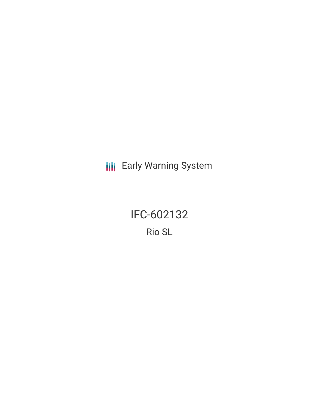**III** Early Warning System

IFC-602132 Rio SL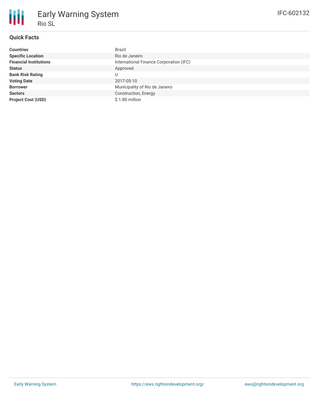## **Quick Facts**

| <b>Countries</b>              | Brazil                                  |
|-------------------------------|-----------------------------------------|
| <b>Specific Location</b>      | Rio de Janeiro                          |
| <b>Financial Institutions</b> | International Finance Corporation (IFC) |
| <b>Status</b>                 | Approved                                |
| <b>Bank Risk Rating</b>       | U                                       |
| <b>Voting Date</b>            | 2017-05-10                              |
| <b>Borrower</b>               | Municipality of Rio de Janeiro          |
| <b>Sectors</b>                | Construction, Energy                    |
| <b>Project Cost (USD)</b>     | \$1.80 million                          |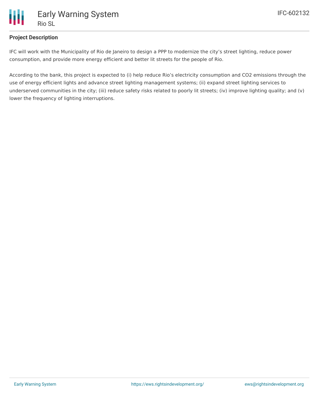

## **Project Description**

IFC will work with the Municipality of Rio de Janeiro to design a PPP to modernize the city's street lighting, reduce power consumption, and provide more energy efficient and better lit streets for the people of Rio.

According to the bank, this project is expected to (i) help reduce Rio's electricity consumption and CO2 emissions through the use of energy efficient lights and advance street lighting management systems; (ii) expand street lighting services to underserved communities in the city; (iii) reduce safety risks related to poorly lit streets; (iv) improve lighting quality; and (v) lower the frequency of lighting interruptions.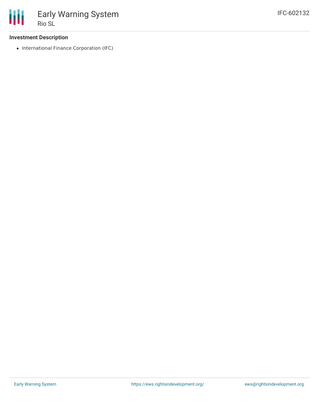

## **Investment Description**

• International Finance Corporation (IFC)